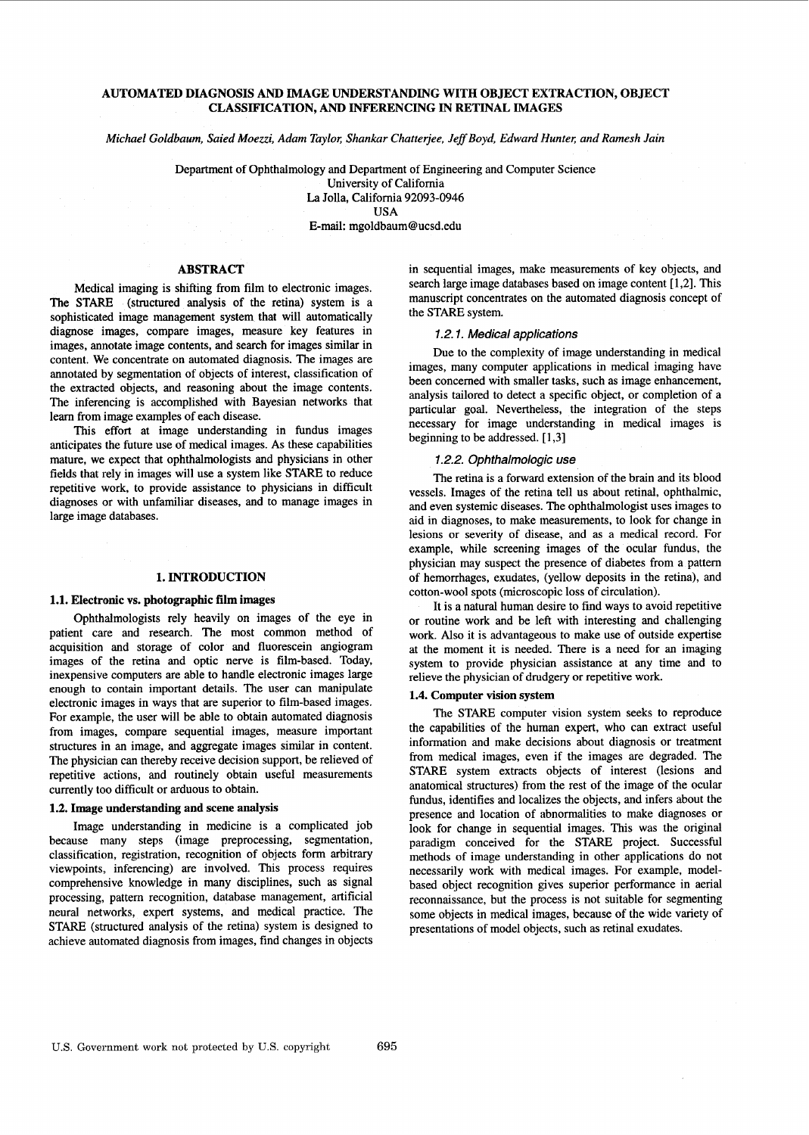# **AUTOMATED DIAGNOSIS AND IMAGE UNDERSTANDING WITH OBJECT EXTRACTION, OBJECT CLASSIFICATION, AND INFERENCING IN RETINAL IMAGES**

*Michael Goldbaum, Saied Moezzi, Adam Taylor, Shankar Chatterjee, Jeff Boyd, Edward Hunter, and Ramesh Jain* 

Department of Ophthalmology and Department of Engineering and Computer Science University of California La Jolla, California 92093-0946

USA

E-mail: [mgoldbaum@ucsd.edu](mailto:mgoldbaum@ucsd.edu)

# **ABSTRACT**

Medical imaging is shifting from film to electronic images. The STARE (structured analysis of the retina) system is a sophisticated image management system that will automatically diagnose images, compare images, measure key features in images, annotate image contents, and search for images similar in content. We concentrate on automated diagnosis. The images are annotated by segmentation of objects of interest, classification of the extracted objects, and reasoning about the image contents. The inferemcing is accomplished with Bayesian networks that learn from image examples of each disease.

This effort at image understanding in fundus images anticipates the future use of medical images. As these capabilities mature, we expect that ophthalmologists and physicians in other fields that rely in images will use a system like STARE to reduce repetitive work, to provide assistance to physicians in difficult diagnoses or with unfamiliar diseases, and to manage images in large image databases.

#### **1. INTRODUCTION**

#### **1.1. Electronic vs. photographic film images**

Ophthalmologists rely heavily on images of the eye in patient care and research. The most common method of acquisition and storage of color and fluorescein angiogram images of the retina and optic nerve is film-based. Today, inexpensive computers are able to handle electronic images large enough to contain important details. The user can manipulate electronic images in ways that are superior to film-based images. For example, the user will be able to obtain automated diagnosis from images, compare sequential images, measure important structures in an image, and aggregate images similar in content. The physician can thereby receive decision support, be relieved of repetitive actions, and routinely obtain useful measurements currently too difficult or arduous to obtain.

#### **1.2. Image understanding and scene analysis**

Image understanding in medicine is a complicated job because many steps (image preprocessing, segmentation, classification, registration, recognition of objects form arbitrary viewpoints, inferencing) are involved. This process requires comprehensive knowledge in many disciplines, such as signal processing, pattem recognition, database management, artificial neural networks, expert systems, and medical practice. The STARE (structured analysis of the retina) system is designed to achieve automated diagnosis from images, find changes in objects in sequential images, make measurements of key objects, and search large image databases based on image content [1,2]. This manuscript concentrates on the automated diagnosis concept of the STARE system.

## *1.2.1. Medical applications*

Due to the complexity of image understanding in medical images, many computer applications in medical imaging have been concemed with smaller tasks, such as image enhancement, analysis tailored to detect a specific object, or completion of a particular goal. Nevertheless, the integration of the steps necessary for image understanding in medical images is beginning to be addressed. [ 1,3]

#### *1.2.2. Ophthalmologic use*

The retina is a forward extension of the brain and its blood vessels. Images of the retina tell us about retinal, ophthalmic, and even systemic diseases. The ophthalmologist uses images to aid in diagnoses, to make measurements, to look for change in lesions or severity of disease, and as a medical record. For example, while screening images of the ocular fundus, the physician may suspect the presence of diabetes from a pattem of hemorrhages, exudates, (yellow deposits in the retina), and cotton-wool spots (microscopic loss of circulation).

It is a natural human desire to find ways to avoid repetitive or routine work and be left with interesting and challenging work. Also it is advantageous to make use of outside expertise at the moment it is needed. There is a need for **an** imaging system to provide physician assistance at any time and to relieve the physician of drudgery or repetitive work.

## **1.4. Computer vision system**

The STARE computer vision system seeks to reproduce the capabilities of the human expert, who can extract useful information and make decisions about diagnosis or treatment from medical images, even if the images are degraded. The STARE system extracts objects of interest (lesions and anatomical structures) from the rest of the image of the ocular fundus, identifies and localizes the objects, and infers about the presence and location of abnormalities to make diagnoses or look for change in sequential images. This was the original paradigm conceived for the STARE project. Successful methods of image understanding in other applications do not necessarily work with medical images. For example, modelbased object recognition gives superior performance in aerial reconnaissance, but the process is not suitable for segmenting some objects in medical images, because of the wide variety of presentations of model objects, such as retinal exudates.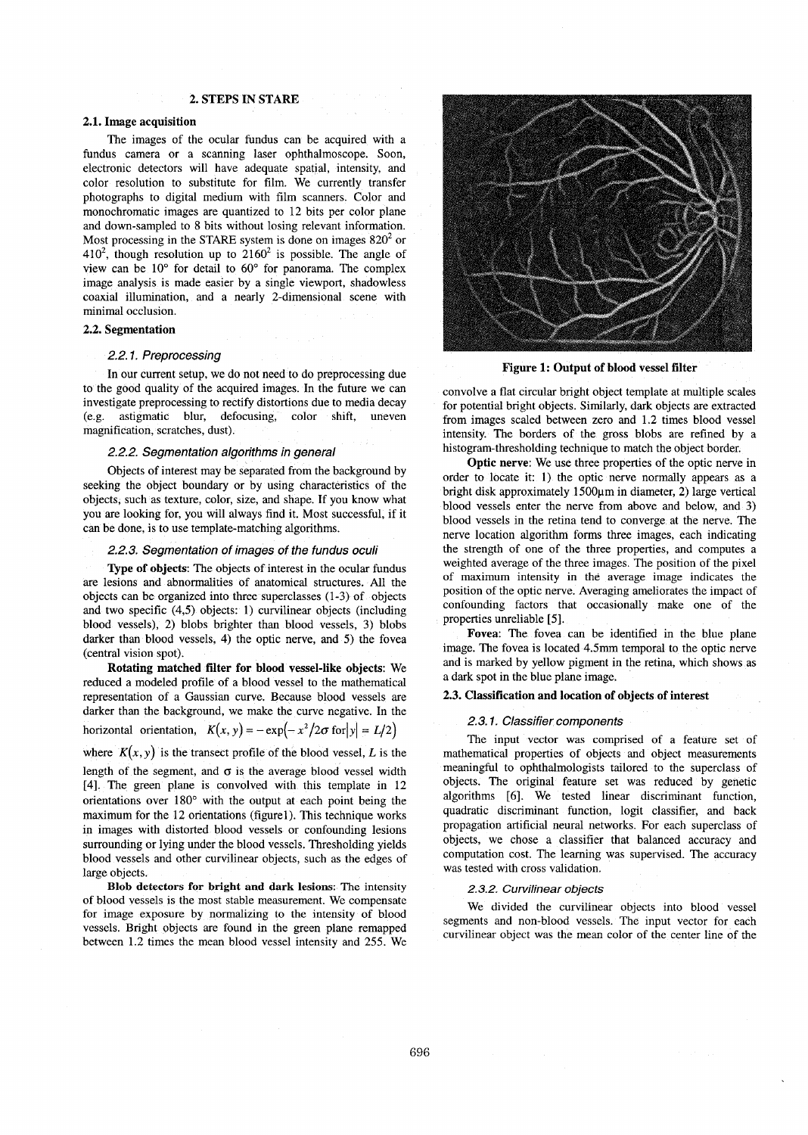# **2. STEPS IN STARE**

## **2.1. Image acquisition**

The images of the ocular fundus can be acquired with a fundus camera or a scanning laser ophthalmoscope. Soon, electronic detectors will have adequate spatial, intensity, and color resolution to substitute for film. We currently transfer photographs to digital medium with film scanners. Color and monochromatic images are quantized to 12 bits per color plane and down-sampled to 8 bits without losing relevant information. Most processing in the STARE system is done on images 820' or  $410<sup>2</sup>$ , though resolution up to  $2160<sup>2</sup>$  is possible. The angle of view can be 10" for detail to 60" for panorama. The complex image analysis is made easier by a single viewport, shadowless coaxial illumination, and a nearly 2-dimensional scene with minimal occlusion.

#### **2.2. Segmentation**

### *2.2.1. Preprocessing*

In our current setup, we do not need to do preprocessing due to the good quality of the acquired images. In the future we can investigate preprocessing to rectify distortions due to media decay (e.g. astigmatic blur, defocusing, color shift, uneven magnification, scratches, dust).

## *2.2.2. Segmentation algorithms in general*

Objects of interest may be separated from the background by seeking the object boundary or by using characteristics of the objects, such as texture, color, size, and shape. If you know what you are looking for, you will always find it. Most successful, if it can be done, is to use template-matching algorithms.

#### *2.2.3. Segmentation of images of the fundus oculi*

**Type of objects:** The objects of interest in the ocular fundus are lesions and abnormalities of anatomical structures. All the objects can be organized into three superclasses (1-3) of objects and two specific  $(4,5)$  objects: 1) curvilinear objects (including blood vessels), 2) blobs brighter than blood vessels, 3) blobs darker than blood vessels, 4) the optic nerve, and 5) the fovea (central vision spot).

**Rotating matched filter for blood vessel-like objects:** We reduced a modeled profile of a blood vessel to the mathematical representation of a Gaussian curve. Because blood vessels are darker than the background, we make the curve negative. In the horizontal orientation,  $K(x, y) = -\exp(-x^2/2\sigma \text{ for } |y| = L/2)$ 

where  $K(x, y)$  is the transect profile of the blood vessel, *L* is the

length of the segment, and  $\sigma$  is the average blood vessel width **[4].** The green plane is convolved with this template in 12 orientations over 180" with the output at each point being the maximum for the 12 orientations (figurel). This technique works in images with distorted blood vessels or confounding lesions surrounding or lying under the blood vessels. Thresholding yields blood vessels and other curvilinear objects, such as the edges of large objects.

**Blob detectors for bright and dark lesions: The intensity**  of blood vessels is the most stable measurement. We compensate for image exposure by normalizing to the intensity of blood vessels. Bright objects are found in the green plane remapped between 1.2 times the mean blood vessel intensity and 255. We



**Figure 1: Output of blood vessel filter** 

convolve a flat circular bright object template at multiple scales for potential bright objects. Similarly, dark objects are extracted from images scaled between zero and 1.2 times blood vessel intensity. The borders of the gross blobs are refined by a histogram-thresholding technique to match the object border.

**Optic nerve:** We use three properties of the optic nerve in order to locate it: 1) the optic nerve normally appears as a bright disk approximately 1500pm in diameter, **2)** large vertical blood vessels enter the nerve from above and below, and **3)**  blood vessels in the retina tend to converge at the nerve. The nerve location algonthm forms three images, each indicating the strength of one of the three properties, and computes a weighted average of the three images. The position of the pixel of maximum intensity in the average image indicates the position of the optic nerve. Averaging ameliorates the impact of confounding factors that occasionally make one of the properties unreliable *[5].* 

**Fovea:** The fovea can be identified in the blue plane image. The fovea is located 4.5mm temporal to the optic nerve and is marked by yellow pigment in the retina, which shows as a dark spot in the blue plane image.

## **2.3. Classification and location of objects of interest**

#### *2.3.1. Classifier components*

The input vector was comprised of a feature set of mathematical properties of objects and object measurements meaningful to ophthalmologists tailored to the superclass of objects. The original feature set was reduced by genetic algorithms [6]. We tested linear discriminant function, quadratic discriminant function, logit classifier, and back propagation artificial neural networks. For each superclass of objects, we chose a classifier that balanced accuracy and computation cost. The learning was supervised. The accuracy was tested with cross validation.

#### *2.3.2. Curvilinear objects*

We divided the curvilinear objects into blood vessel segments and non-blood vessels. The input vector for each curvilinear object was the mean color of the center line of the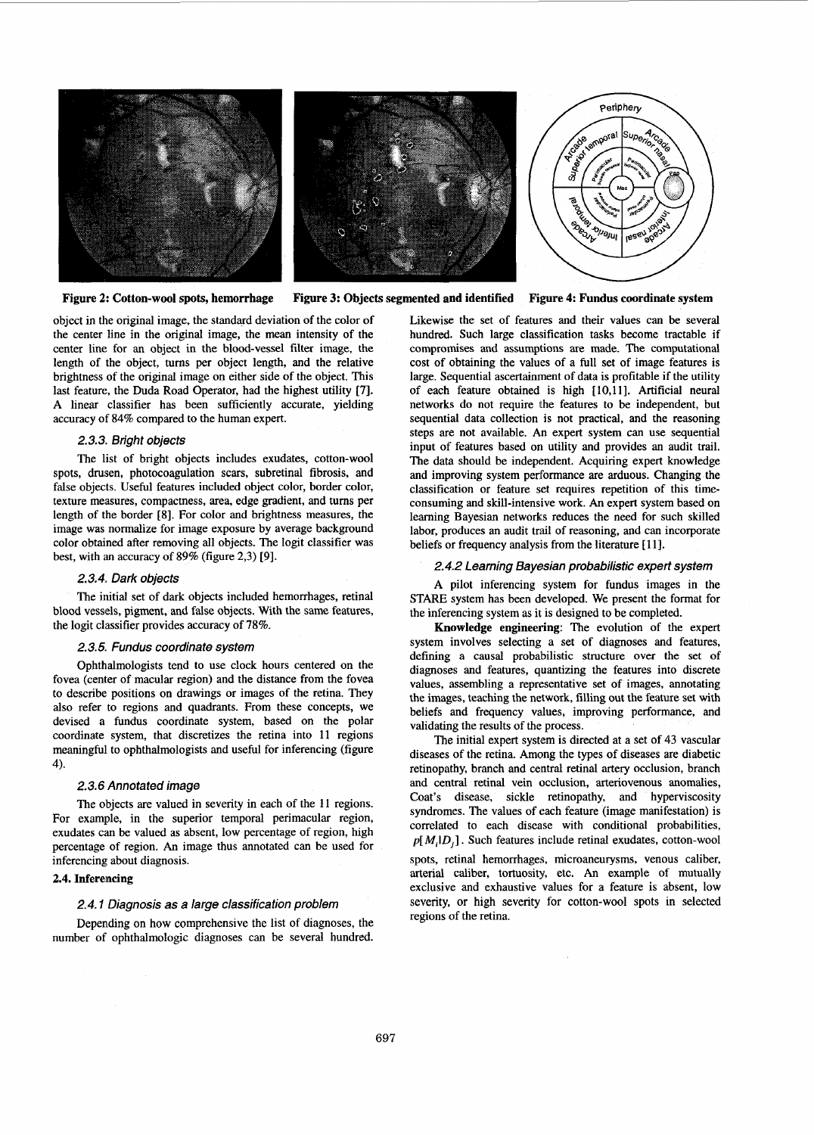

**Figure 2: Cotton-wool spots, hemorrhage Figure 3: Objects segmented and identified** 

**Figure 4: Fundus oordinate system** 

object in the original image, the standard deviation of the color of the center line in the original image, the mean intensity of the center line for an object in the blood-vessel filter image, the length of the object, **tums** per object length, and the relative brightness of the original image on either side of the object. This last feature, the Duda Road Operator, had the highest utility [7]. A linear classifier has been sufficiently accurate, yielding accuracy of 84% compared to the human expert.

# *2.3.3. Bright objects*

The list of bright objects includes exudates, cotton-wool spots, drusen, photocoagulation scars, subretinal fibrosis, and false objects. Useful features included object color, border color, texture measures, compactness, area, edge gradient, and tums per length of the border [8]. For color and brightness measures, the image was normalize for image exposure by average background color obtained after removing all objects. The logit classifier was best, with an accuracy of 89% (figure 2,3) [9].

#### *2.3.4. Dark objects*

The initial set of dark objects included hemorrhages, retinal blood vessels, pigment, and false objects. With the same features, the logit classifier provides accuracy of 78%.

#### *2.3.5. Fundus coordinate system*

Ophthalmologists tend to use clock hours centered on the fovea (center of macular region) and the distance from the fovea to describe positions on drawings or images of the retina. They also refer to regions and quadrants. From these concepts, we devised a fundus coordinate system, based on the polar coordinate system, that discretizes the retina into 11 regions meaningful to ophthalmologists and useful for inferencing (figure 4).

# *2.3.6 Annotated image*

The objects are valued in severity in each of the 11 regions. For example, in the superior temporal perimacular region, exudates can be valued as absent, low percentage of region, high percentage of region. **An** image thus annotated can be used for inferencing about diagnosis.

# 2.4. Inferencing

#### *2.4.1 Diagnosis as a large classification problem*

Depending on how comprehensive the list of diagnoses, the number of ophthalmologic diagnoses can be several hundred.

Likewise the set of features and their values can be several hundred. Such large classification tasks become tractable if compromises and assumptions are made. The computational cost of obtaining the values of a full set of image features is large. Sequential ascertainment of data is profitable if the utility of each feature obtained is high [10,11]. Artificial neural networks do not require the features to be independent, but sequential data collection is not practical, and the reasoning steps are not available. *An* expert system can use sequential input of features based on utility and provides an audit trail. The data should be independent. Acquiring expert knowledge and improving system performance are arduous. Changing the classification or feature set requires repetition of this timeconsuming and skill-intensive work. *An* expert system based on learning Bayesian networks reduces the need for such skilled labor, produces an audit trail of reasoning, and can incorporate beliefs or frequency analysis from the literature [11].

# *2.4.2 Learning Bayesian probabilistic expert system*

A pilot inferencing system for fundus images in the STARE system has been developed. We present the format for the inferencing system as it is designed to be completed.

**Knowledge engineering:** The evolution of the expert system involves selecting a set of diagnoses and features, defining a causal probabilistic structure over the set of diagnoses and features, quantizing the features into discrete values, assembling a representative set of images, annotating the images, teaching the network, filling out the feature set with beliefs and frequency values, improving performance, and validating the results of the process.

The initial expert system is directed at a set of 43 vascular diseases of the retina. Among the types of diseases are diabetic retinopathy, branch and central retinal artery occlusion, branch and central retinal vein occlusion, arteriovenous anomalies, Coat's disease, sickle retinopathy, and hyperviscosity syndromes. The values of each feature (image manifestation) is correlated to each disease with conditional probabilities,  $p[M_i|D_i]$ . Such features include retinal exudates, cotton-wool spots, retinal hemorrhages, microaneurysms, venous caliber, arterial caliber, tortuosity, etc. **An** example of mutually exclusive and exhaustive values for a feature is absent, low severity, or high severity for cotton-wool spots in selected regions of the retina.